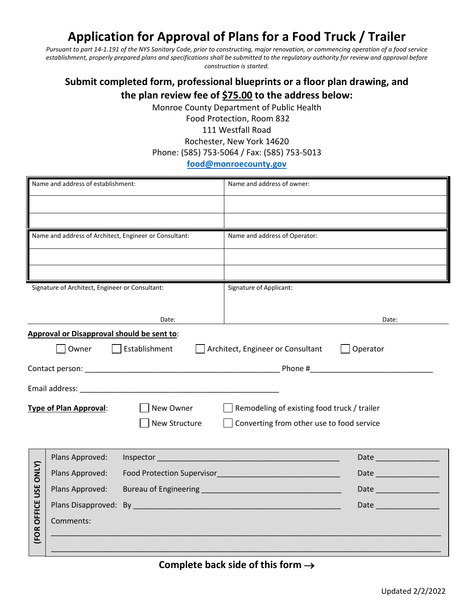## **Application for Approval of Plans for a Food Truck / Trailer**

*Pursuant to part 14-1.191 of the NYS Sanitary Code, prior to constructing, major renovation, or commencing operation of a food service establishment, properly prepared plans and specifications shall be submitted to the regulatory authority for review and approval before construction is started.* 

## **Submit completed form, professional blueprints or a floor plan drawing, and the plan review fee of \$75.00 to the address below:**

Monroe County Department of Public Health

Food Protection, Room 832 111 Westfall Road Rochester, New York 14620 Phone: (585) 753-5064 / Fax: (585) 753-5013

## **[food@monroecounty.gov](mailto:food@monroecounty.gov)**

| Name and address of establishment:              |                                                        |               | Name and address of owner:                    |  |
|-------------------------------------------------|--------------------------------------------------------|---------------|-----------------------------------------------|--|
|                                                 |                                                        |               |                                               |  |
|                                                 |                                                        |               |                                               |  |
|                                                 | Name and address of Architect, Engineer or Consultant: |               | Name and address of Operator:                 |  |
|                                                 |                                                        |               |                                               |  |
|                                                 |                                                        |               |                                               |  |
| Signature of Architect, Engineer or Consultant: |                                                        |               | Signature of Applicant:                       |  |
|                                                 |                                                        |               |                                               |  |
|                                                 |                                                        | Date:         | Date:                                         |  |
|                                                 | Approval or Disapproval should be sent to:             |               |                                               |  |
|                                                 | Owner                                                  | Establishment | Architect, Engineer or Consultant<br>Operator |  |
|                                                 |                                                        |               |                                               |  |
|                                                 |                                                        |               |                                               |  |
| <b>Type of Plan Approval:</b><br>New Owner      |                                                        |               | Remodeling of existing food truck / trailer   |  |
|                                                 |                                                        | New Structure | Converting from other use to food service     |  |
|                                                 |                                                        |               |                                               |  |
|                                                 | Plans Approved:                                        |               |                                               |  |
|                                                 | Plans Approved:                                        |               | Date                                          |  |
|                                                 | Plans Approved:                                        |               | Date                                          |  |
| <b>FOR OFFICE USE ONLY)</b>                     |                                                        |               | Date                                          |  |
|                                                 | Comments:                                              |               |                                               |  |
|                                                 |                                                        |               |                                               |  |
|                                                 |                                                        |               |                                               |  |